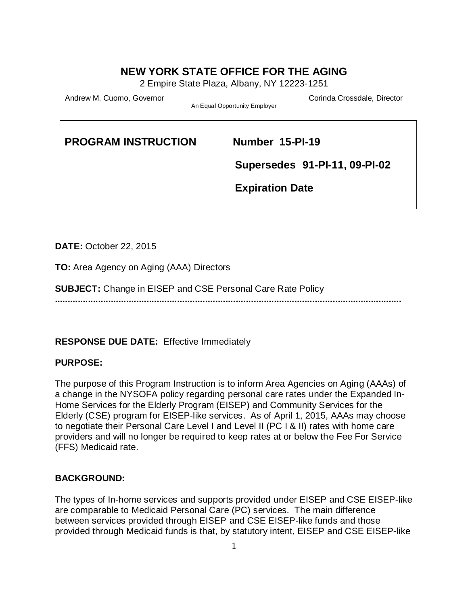## **NEW YORK STATE OFFICE FOR THE AGING**

2 Empire State Plaza, Albany, NY 12223-1251

Andrew M. Cuomo, Governor Corinda Crossdale, Director Corinda Crossdale, Director

An Equal Opportunity Employer

# **PROGRAM INSTRUCTION Number 15-PI-19**

 **Supersedes 91-PI-11, 09-PI-02**

 **Expiration Date** 

**DATE:** October 22, 2015

**TO:** Area Agency on Aging (AAA) Directors

**SUBJECT:** Change in EISEP and CSE Personal Care Rate Policy

**........................................................................................................................................**

## **RESPONSE DUE DATE:** Effective Immediately

#### **PURPOSE:**

The purpose of this Program Instruction is to inform Area Agencies on Aging (AAAs) of a change in the NYSOFA policy regarding personal care rates under the Expanded In-Home Services for the Elderly Program (EISEP) and Community Services for the Elderly (CSE) program for EISEP-like services. As of April 1, 2015, AAAs may choose to negotiate their Personal Care Level I and Level II (PC I & II) rates with home care providers and will no longer be required to keep rates at or below the Fee For Service (FFS) Medicaid rate.

## **BACKGROUND:**

The types of In-home services and supports provided under EISEP and CSE EISEP-like are comparable to Medicaid Personal Care (PC) services. The main difference between services provided through EISEP and CSE EISEP-like funds and those provided through Medicaid funds is that, by statutory intent, EISEP and CSE EISEP-like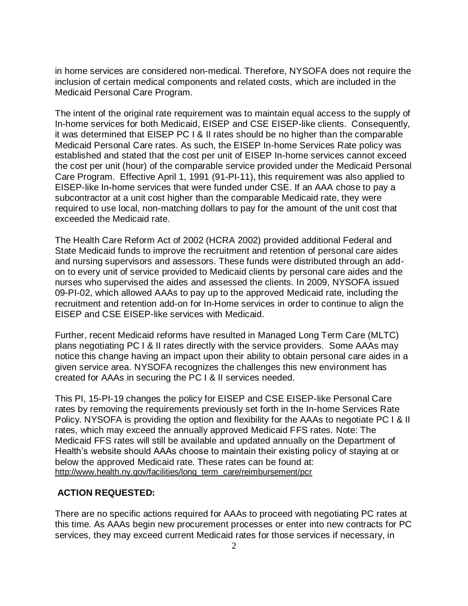in home services are considered non-medical. Therefore, NYSOFA does not require the inclusion of certain medical components and related costs, which are included in the Medicaid Personal Care Program.

The intent of the original rate requirement was to maintain equal access to the supply of In-home services for both Medicaid, EISEP and CSE EISEP-like clients. Consequently, it was determined that EISEP PC I & II rates should be no higher than the comparable Medicaid Personal Care rates. As such, the EISEP In-home Services Rate policy was established and stated that the cost per unit of EISEP In-home services cannot exceed the cost per unit (hour) of the comparable service provided under the Medicaid Personal Care Program. Effective April 1, 1991 (91-PI-11), this requirement was also applied to EISEP-like In-home services that were funded under CSE. If an AAA chose to pay a subcontractor at a unit cost higher than the comparable Medicaid rate, they were required to use local, non-matching dollars to pay for the amount of the unit cost that exceeded the Medicaid rate.

The Health Care Reform Act of 2002 (HCRA 2002) provided additional Federal and State Medicaid funds to improve the recruitment and retention of personal care aides and nursing supervisors and assessors. These funds were distributed through an addon to every unit of service provided to Medicaid clients by personal care aides and the nurses who supervised the aides and assessed the clients. In 2009, NYSOFA issued 09-PI-02, which allowed AAAs to pay up to the approved Medicaid rate, including the recruitment and retention add-on for In-Home services in order to continue to align the EISEP and CSE EISEP-like services with Medicaid.

Further, recent Medicaid reforms have resulted in Managed Long Term Care (MLTC) plans negotiating PC I & II rates directly with the service providers. Some AAAs may notice this change having an impact upon their ability to obtain personal care aides in a given service area. NYSOFA recognizes the challenges this new environment has created for AAAs in securing the PC I & II services needed.

This PI, 15-PI-19 changes the policy for EISEP and CSE EISEP-like Personal Care rates by removing the requirements previously set forth in the In-home Services Rate Policy. NYSOFA is providing the option and flexibility for the AAAs to negotiate PC I & II rates, which may exceed the annually approved Medicaid FFS rates. Note: The Medicaid FFS rates will still be available and updated annually on the Department of Health's website should AAAs choose to maintain their existing policy of staying at or below the approved Medicaid rate. These rates can be found at: [http://www.health.ny.gov/facilities/long\\_term\\_care/reimbursement/pcr](http://www.health.ny.gov/facilities/long_term_care/reimbursement/pcr)

#### **ACTION REQUESTED:**

There are no specific actions required for AAAs to proceed with negotiating PC rates at this time. As AAAs begin new procurement processes or enter into new contracts for PC services, they may exceed current Medicaid rates for those services if necessary, in